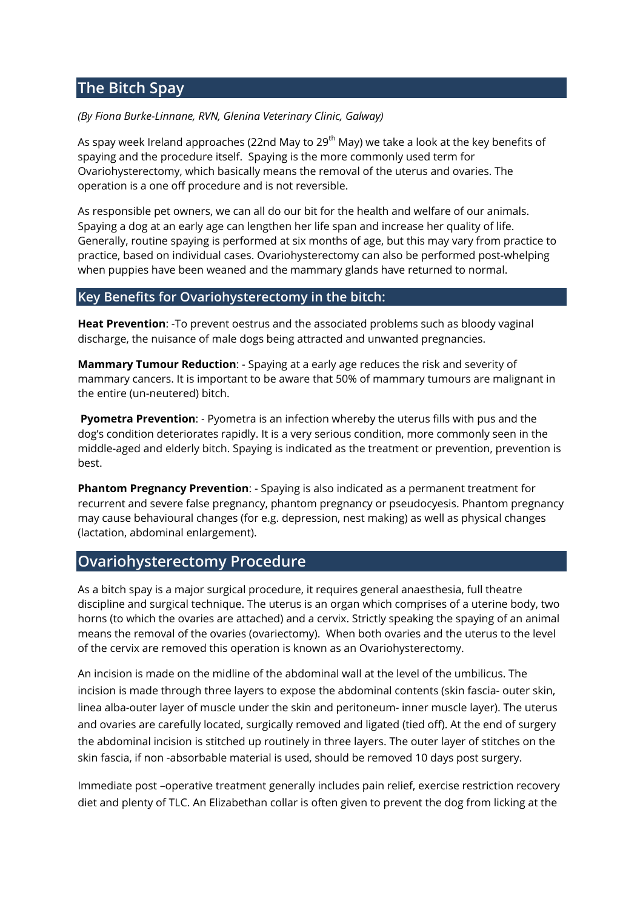## **The Bitch Spay**

## *(By Fiona Burke-Linnane, RVN, Glenina Veterinary Clinic, Galway)*

As spay week Ireland approaches (22nd May to 29<sup>th</sup> May) we take a look at the key benefits of spaying and the procedure itself. Spaying is the more commonly used term for Ovariohysterectomy, which basically means the removal of the uterus and ovaries. The operation is a one off procedure and is not reversible.

As responsible pet owners, we can all do our bit for the health and welfare of our animals. Spaying a dog at an early age can lengthen her life span and increase her quality of life. Generally, routine spaying is performed at six months of age, but this may vary from practice to practice, based on individual cases. Ovariohysterectomy can also be performed post-whelping when puppies have been weaned and the mammary glands have returned to normal.

## **Key Benefits for Ovariohysterectomy in the bitch:**

**Heat Prevention**: -To prevent oestrus and the associated problems such as bloody vaginal discharge, the nuisance of male dogs being attracted and unwanted pregnancies.

**Mammary Tumour Reduction**: - Spaying at a early age reduces the risk and severity of mammary cancers. It is important to be aware that 50% of mammary tumours are malignant in the entire (un-neutered) bitch.

**Pyometra Prevention**: - Pyometra is an infection whereby the uterus fills with pus and the dog's condition deteriorates rapidly. It is a very serious condition, more commonly seen in the middle-aged and elderly bitch. Spaying is indicated as the treatment or prevention, prevention is best.

**Phantom Pregnancy Prevention**: - Spaying is also indicated as a permanent treatment for recurrent and severe false pregnancy, phantom pregnancy or pseudocyesis. Phantom pregnancy may cause behavioural changes (for e.g. depression, nest making) as well as physical changes (lactation, abdominal enlargement).

## **Ovariohysterectomy Procedure**

As a bitch spay is a major surgical procedure, it requires general anaesthesia, full theatre discipline and surgical technique. The uterus is an organ which comprises of a uterine body, two horns (to which the ovaries are attached) and a cervix. Strictly speaking the spaying of an animal means the removal of the ovaries (ovariectomy). When both ovaries and the uterus to the level of the cervix are removed this operation is known as an Ovariohysterectomy.

An incision is made on the midline of the abdominal wall at the level of the umbilicus. The incision is made through three layers to expose the abdominal contents (skin fascia- outer skin, linea alba-outer layer of muscle under the skin and peritoneum- inner muscle layer). The uterus and ovaries are carefully located, surgically removed and ligated (tied off). At the end of surgery the abdominal incision is stitched up routinely in three layers. The outer layer of stitches on the skin fascia, if non -absorbable material is used, should be removed 10 days post surgery.

Immediate post –operative treatment generally includes pain relief, exercise restriction recovery diet and plenty of TLC. An Elizabethan collar is often given to prevent the dog from licking at the